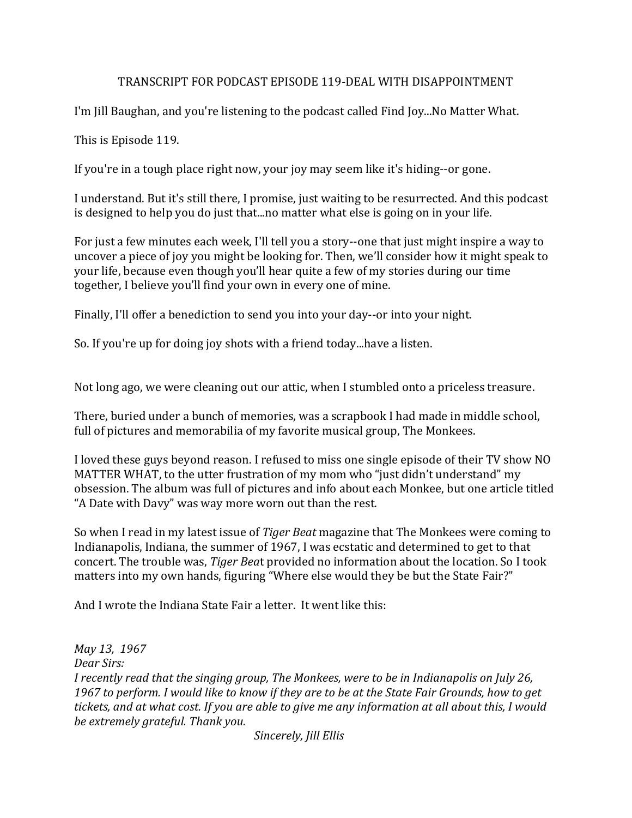## TRANSCRIPT FOR PODCAST EPISODE 119-DEAL WITH DISAPPOINTMENT

I'm Jill Baughan, and you're listening to the podcast called Find Joy...No Matter What.

This is Episode 119.

If you're in a tough place right now, your joy may seem like it's hiding--or gone.

I understand. But it's still there, I promise, just waiting to be resurrected. And this podcast is designed to help you do just that...no matter what else is going on in your life.

For just a few minutes each week, I'll tell you a story--one that just might inspire a way to uncover a piece of joy you might be looking for. Then, we'll consider how it might speak to your life, because even though you'll hear quite a few of my stories during our time together, I believe you'll find your own in every one of mine.

Finally, I'll offer a benediction to send you into your day--or into your night.

So. If you're up for doing joy shots with a friend today...have a listen.

Not long ago, we were cleaning out our attic, when I stumbled onto a priceless treasure.

There, buried under a bunch of memories, was a scrapbook I had made in middle school, full of pictures and memorabilia of my favorite musical group, The Monkees.

I loved these guys beyond reason. I refused to miss one single episode of their TV show NO MATTER WHAT, to the utter frustration of my mom who "just didn't understand" my obsession. The album was full of pictures and info about each Monkee, but one article titled "A Date with Davy" was way more worn out than the rest.

So when I read in my latest issue of *Tiger Beat* magazine that The Monkees were coming to Indianapolis, Indiana, the summer of 1967, I was ecstatic and determined to get to that concert. The trouble was, *Tiger Beat* provided no information about the location. So I took matters into my own hands, figuring "Where else would they be but the State Fair?"

And I wrote the Indiana State Fair a letter. It went like this:

*May 13, 1967 Dear Sirs: I* recently read that the singing group, The Monkees, were to be in Indianapolis on July 26, 1967 to perform. I would like to know if they are to be at the State Fair Grounds, how to get tickets, and at what cost. If you are able to give me any information at all about this, I would be extremely grateful. Thank you.

*Sincerely, Jill Ellis*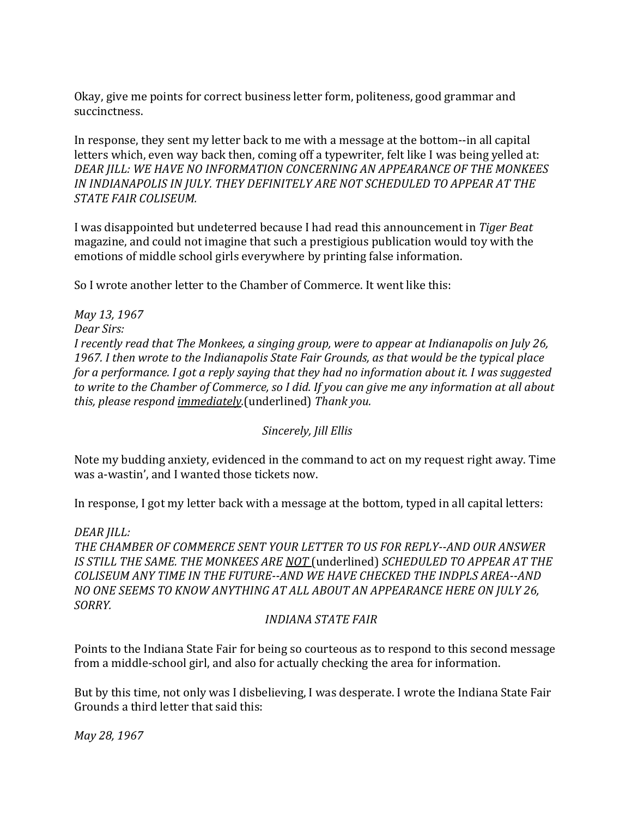Okay, give me points for correct business letter form, politeness, good grammar and succinctness. 

In response, they sent my letter back to me with a message at the bottom--in all capital letters which, even way back then, coming off a typewriter, felt like I was being yelled at: DEAR JILL: WE HAVE NO INFORMATION CONCERNING AN APPEARANCE OF THE MONKEES IN INDIANAPOLIS IN JULY. THEY DEFINITELY ARE NOT SCHEDULED TO APPEAR AT THE *STATE FAIR COLISEUM.* 

I was disappointed but undeterred because I had read this announcement in *Tiger Beat* magazine, and could not imagine that such a prestigious publication would toy with the emotions of middle school girls everywhere by printing false information.

So I wrote another letter to the Chamber of Commerce. It went like this:

*May 13, 1967 Dear Sirs: I* recently read that The Monkees, a singing group, were to appear at Indianapolis on July 26, 1967. I then wrote to the Indianapolis State Fair Grounds, as that would be the typical place *for a performance. I got a reply saying that they had no information about it. I was suggested* to write to the Chamber of Commerce, so I did. If you can give me any information at all about *this, please respond immediately.*(underlined) Thank you.

## *Sincerely, Jill Ellis*

Note my budding anxiety, evidenced in the command to act on my request right away. Time was a-wastin', and I wanted those tickets now.

In response, I got my letter back with a message at the bottom, typed in all capital letters:

#### *DEAR JILL:*

*THE CHAMBER OF COMMERCE SENT YOUR LETTER TO US FOR REPLY--AND OUR ANSWER*  IS STILL THE SAME. THE MONKEES ARE NOT (underlined) *SCHEDULED* TO APPEAR AT THE COLISEUM ANY TIME IN THE FUTURE--AND WE HAVE CHECKED THE INDPLS AREA--AND *NO* ONE SEEMS TO KNOW ANYTHING AT ALL ABOUT AN APPEARANCE HERE ON JULY 26, *SORRY.*

## *<i>INDIANA STATE FAIR*

Points to the Indiana State Fair for being so courteous as to respond to this second message from a middle-school girl, and also for actually checking the area for information.

But by this time, not only was I disbelieving, I was desperate. I wrote the Indiana State Fair Grounds a third letter that said this:

*May 28, 1967*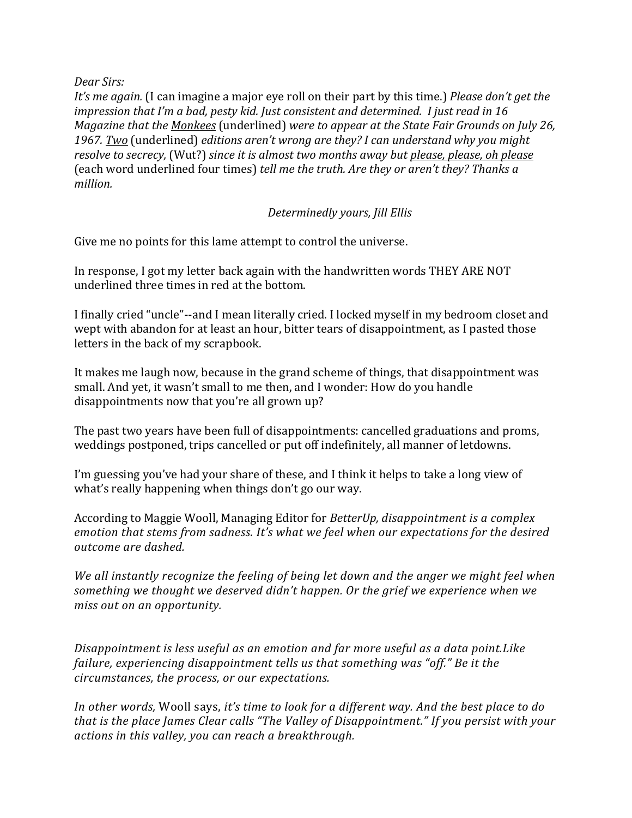### *Dear Sirs:*

*It's* me again. (I can imagine a major eye roll on their part by this time.) *Please don't get the impression that I'm a bad, pesty kid. Just consistent and determined. I just read in 16 Magazine that the Monkees* (underlined) were to appear at the State Fair Grounds on July 26, 1967. Two (underlined) *editions aren't wrong are they? I can understand why you might resolve to secrecy,* (Wut?) since it is almost two months away but please, please, oh please (each word underlined four times) *tell me the truth. Are they or aren't they? Thanks a million.*

# Determinedly yours, Jill Ellis

Give me no points for this lame attempt to control the universe.

In response, I got my letter back again with the handwritten words THEY ARE NOT underlined three times in red at the bottom.

I finally cried "uncle"--and I mean literally cried. I locked myself in my bedroom closet and wept with abandon for at least an hour, bitter tears of disappointment, as I pasted those letters in the back of my scrapbook.

It makes me laugh now, because in the grand scheme of things, that disappointment was small. And yet, it wasn't small to me then, and I wonder: How do you handle disappointments now that you're all grown up?

The past two years have been full of disappointments: cancelled graduations and proms, weddings postponed, trips cancelled or put off indefinitely, all manner of letdowns.

I'm guessing you've had your share of these, and I think it helps to take a long view of what's really happening when things don't go our way.

According to Maggie Wooll, Managing Editor for *BetterUp, disappointment is a complex* emotion that stems from sadness. It's what we feel when our expectations for the desired *outcome are dashed.*

We all instantly recognize the feeling of being let down and the anger we might feel when something we thought we deserved didn't happen. Or the grief we experience when we *miss out on an opportunity.* 

*Disappointment is less useful as an emotion and far more useful as a data point.Like failure, experiencing disappointment tells us that something was "off." Be it the circumstances, the process, or our expectations.*

*In* other words, Wooll says, *it's* time to look for a different way. And the best place to do *that is the place James Clear calls* "The Valley of Disappointment." If you persist with your *actions in this valley, you can reach a breakthrough.*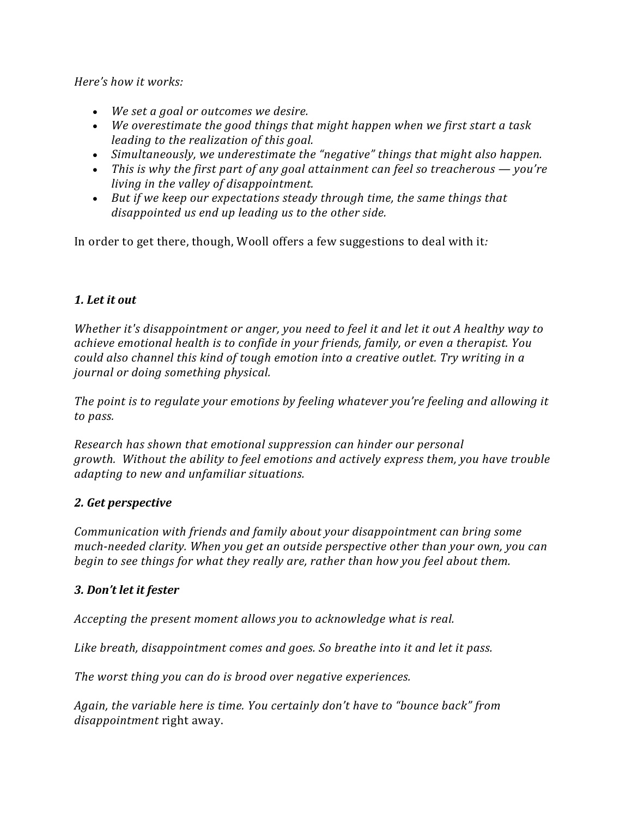*Here's how it works:* 

- We set a goal or outcomes we desire.
- We overestimate the good things that might happen when we first start a task *leading to the realization of this goal.*
- Simultaneously, we underestimate the "negative" things that might also happen.
- This is why the first part of any goal attainment can feel so treacherous you're *living in the valley of disappointment.*
- But if we keep our expectations steady through time, the same things that disappointed us end up leading us to the other side.

In order to get there, though, Wooll offers a few suggestions to deal with it:

# *1. Let it out*

*Whether* it's disappointment or anger, you need to feel it and let it out A healthy way to *achieve emotional health is to confide in your friends, family, or even a therapist. You could also channel this kind of tough emotion into a creative outlet. Try writing in a journal or doing something physical.* 

*The point is to regulate your emotions by feeling whatever you're feeling and allowing it to pass.*

*Research has shown that emotional suppression can hinder our personal growth.* Without the ability to feel emotions and actively express them, you have trouble *adapting to new and unfamiliar situations.* 

## *2. Get perspective*

*Communication with friends and family about your disappointment can bring some much-needed clarity.* When you get an outside perspective other than your own, you can *begin* to see things for what they really are, rather than how you feel about them.

## *3. Don't let it fester*

*Accepting the present moment allows you to acknowledge what is real.* 

Like breath, disappointment comes and goes. So breathe into it and let it pass.

*The worst thing you can do is brood over negative experiences.* 

Again, the variable here is time. You certainly don't have to "bounce back" from *disappointment* right away.